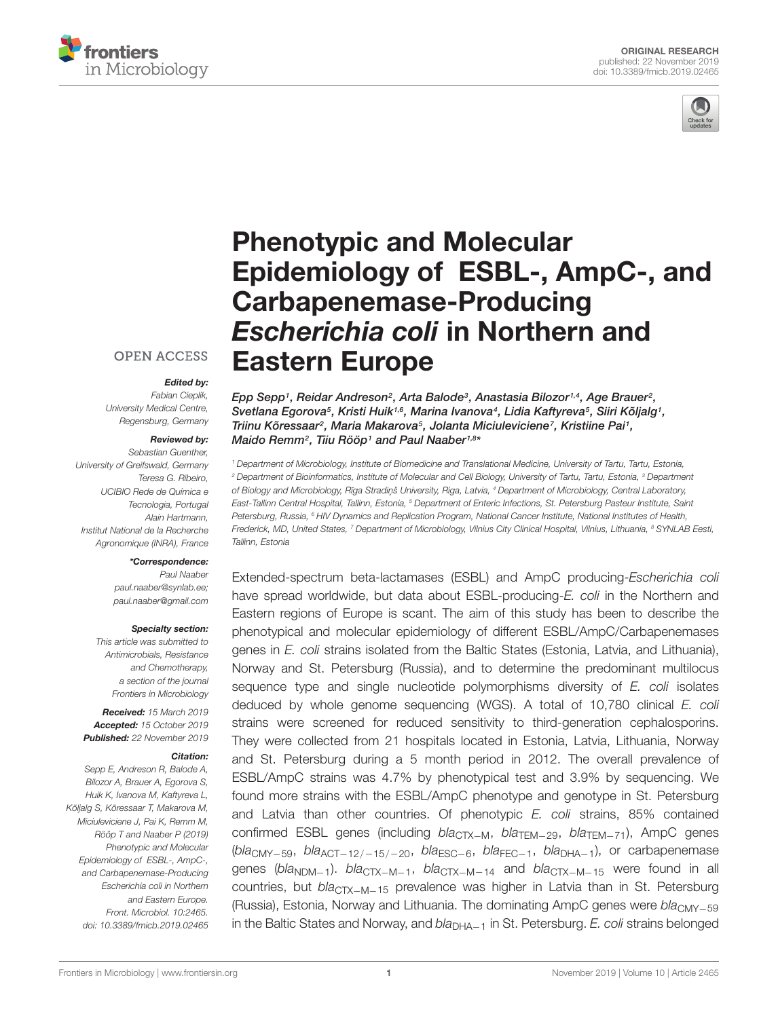



# Phenotypic and Molecular [Epidemiology of ESBL-, AmpC-, and](https://www.frontiersin.org/articles/10.3389/fmicb.2019.02465/full) Carbapenemase-Producing Escherichia coli in Northern and Eastern Europe

#### **OPEN ACCESS**

#### Edited by:

Fabian Cieplik, University Medical Centre, Regensburg, Germany

#### Reviewed by:

Sebastian Guenther University of Greifswald, Germany Teresa G. Ribeiro, UCIBIO Rede de Química e Tecnologia, Portugal Alain Hartmann, Institut National de la Recherche Agronomique (INRA), France

#### \*Correspondence:

Paul Naaber paul.naaber@synlab.ee; paul.naaber@gmail.com

#### Specialty section:

This article was submitted to Antimicrobials, Resistance and Chemotherapy, a section of the journal Frontiers in Microbiology

Received: 15 March 2019 Accepted: 15 October 2019 Published: 22 November 2019

#### Citation:

Sepp E, Andreson R, Balode A, Bilozor A, Brauer A, Egorova S, Huik K, Ivanova M, Kaftyreva L, Kõljalg S, Kõressaar T, Makarova M, Miciuleviciene J, Pai K, Remm M, Rööp T and Naaber P (2019) Phenotypic and Molecular Epidemiology of ESBL-, AmpC-, and Carbapenemase-Producing Escherichia coli in Northern and Eastern Europe. Front. Microbiol. 10:2465. doi: [10.3389/fmicb.2019.02465](https://doi.org/10.3389/fmicb.2019.02465) Epp Sepp1, Reidar Andreson $^2$ , Arta Balode $^3$ , [Anastasia Bilozor](http://loop.frontiersin.org/people/777385/overview) $^{1,4}$ , Age Brauer $^2$ , [Svetlana Egorova](http://loop.frontiersin.org/people/778498/overview)5, Kristi Huik1,6, Marina Ivanova4, Lidia Kaftyreva5, Siiri Kõljalg1, Triinu Kõressaar<sup>2</sup>, [Maria Makarova](http://loop.frontiersin.org/people/804888/overview)<sup>5</sup>, [Jolanta Miciuleviciene](http://loop.frontiersin.org/people/742901/overview)<sup>7</sup>, Kristiine Pai<sup>1</sup>, [Maido Remm](http://loop.frontiersin.org/people/243037/overview)<sup>2</sup>, [Tiiu Rööp](http://loop.frontiersin.org/people/779130/overview)1 and [Paul Naaber](http://loop.frontiersin.org/people/691267/overview)1,8\*

<sup>1</sup> Department of Microbiology, Institute of Biomedicine and Translational Medicine, University of Tartu, Tartu, Estonia, <sup>2</sup> Department of Bioinformatics, Institute of Molecular and Cell Biology, University of Tartu, Tartu, Estonia, <sup>3</sup> Department of Biology and Microbiology, Rīga Stradiņš University, Riga, Latvia, <sup>4</sup> Department of Microbiology, Central Laboratory, East-Tallinn Central Hospital, Tallinn, Estonia, <sup>5</sup> Department of Enteric Infections, St. Petersburg Pasteur Institute, Saint Petersburg, Russia, <sup>6</sup> HIV Dynamics and Replication Program, National Cancer Institute, National Institutes of Health, Frederick, MD, United States, 7 Department of Microbiology, Vilnius City Clinical Hospital, Vilnius, Lithuania, 8 SYNLAB Eesti, Tallinn, Estonia

Extended-spectrum beta-lactamases (ESBL) and AmpC producing-Escherichia coli have spread worldwide, but data about ESBL-producing-E. coli in the Northern and Eastern regions of Europe is scant. The aim of this study has been to describe the phenotypical and molecular epidemiology of different ESBL/AmpC/Carbapenemases genes in E. coli strains isolated from the Baltic States (Estonia, Latvia, and Lithuania), Norway and St. Petersburg (Russia), and to determine the predominant multilocus sequence type and single nucleotide polymorphisms diversity of E. coli isolates deduced by whole genome sequencing (WGS). A total of 10,780 clinical E. coli strains were screened for reduced sensitivity to third-generation cephalosporins. They were collected from 21 hospitals located in Estonia, Latvia, Lithuania, Norway and St. Petersburg during a 5 month period in 2012. The overall prevalence of ESBL/AmpC strains was 4.7% by phenotypical test and 3.9% by sequencing. We found more strains with the ESBL/AmpC phenotype and genotype in St. Petersburg and Latvia than other countries. Of phenotypic E. coli strains, 85% contained confirmed ESBL genes (including bla<sub>CTX−M</sub>, bla<sub>TEM−29</sub>, bla<sub>TEM−71</sub>), AmpC genes (bla<sub>CMY−59</sub>, bla<sub>ACT−12/−15/−20</sub>, bla<sub>ESC−6</sub>, bla<sub>FEC−1</sub>, bla<sub>DHA−1</sub>), or carbapenemase genes (bla<sub>NDM−1</sub>). bla<sub>CTX−M−1</sub>, bla<sub>CTX−M−14</sub> and bla<sub>CTX−M−15</sub> were found in all countries, but bla<sub>CTX−M−15</sub> prevalence was higher in Latvia than in St. Petersburg (Russia), Estonia, Norway and Lithuania. The dominating AmpC genes were bla<sub>CMY−59</sub> in the Baltic States and Norway, and  $bla<sub>DHA−1</sub>$  in St. Petersburg. E. coli strains belonged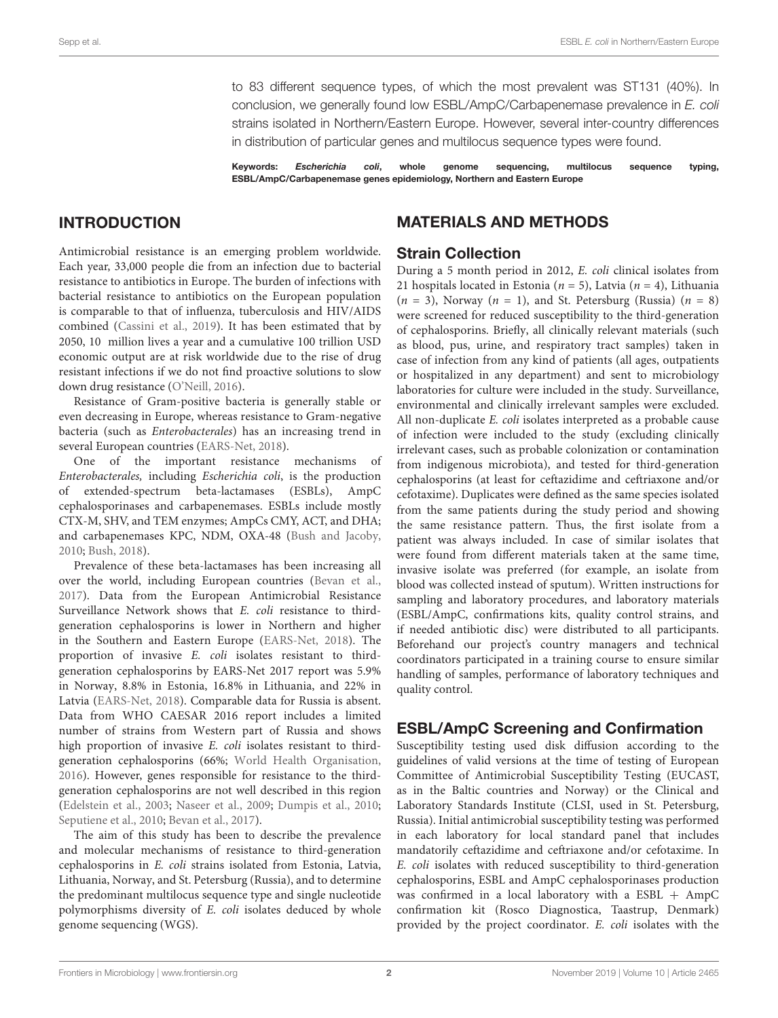to 83 different sequence types, of which the most prevalent was ST131 (40%). In conclusion, we generally found low ESBL/AmpC/Carbapenemase prevalence in E. coli strains isolated in Northern/Eastern Europe. However, several inter-country differences in distribution of particular genes and multilocus sequence types were found.

Keywords: Escherichia coli, whole genome sequencing, multilocus sequence typing, ESBL/AmpC/Carbapenemase genes epidemiology, Northern and Eastern Europe

# INTRODUCTION

Antimicrobial resistance is an emerging problem worldwide. Each year, 33,000 people die from an infection due to bacterial resistance to antibiotics in Europe. The burden of infections with bacterial resistance to antibiotics on the European population is comparable to that of influenza, tuberculosis and HIV/AIDS combined [\(Cassini et al.,](#page-7-0) [2019\)](#page-7-0). It has been estimated that by 2050, 10 million lives a year and a cumulative 100 trillion USD economic output are at risk worldwide due to the rise of drug resistant infections if we do not find proactive solutions to slow down drug resistance [\(O'Neill,](#page-8-0) [2016\)](#page-8-0).

Resistance of Gram-positive bacteria is generally stable or even decreasing in Europe, whereas resistance to Gram-negative bacteria (such as Enterobacterales) has an increasing trend in several European countries [\(EARS-Net,](#page-8-1) [2018\)](#page-8-1).

One of the important resistance mechanisms of Enterobacterales, including Escherichia coli, is the production extended-spectrum beta-lactamases (ESBLs), AmpC cephalosporinases and carbapenemases. ESBLs include mostly CTX-M, SHV, and TEM enzymes; AmpCs CMY, ACT, and DHA; and carbapenemases KPC, NDM, OXA-48 [\(Bush and Jacoby,](#page-7-1) [2010;](#page-7-1) [Bush,](#page-7-2) [2018\)](#page-7-2).

Prevalence of these beta-lactamases has been increasing all over the world, including European countries [\(Bevan et al.,](#page-7-3) [2017\)](#page-7-3). Data from the European Antimicrobial Resistance Surveillance Network shows that E. coli resistance to thirdgeneration cephalosporins is lower in Northern and higher in the Southern and Eastern Europe [\(EARS-Net,](#page-8-1) [2018\)](#page-8-1). The proportion of invasive E. coli isolates resistant to thirdgeneration cephalosporins by EARS-Net 2017 report was 5.9% in Norway, 8.8% in Estonia, 16.8% in Lithuania, and 22% in Latvia [\(EARS-Net,](#page-8-1) [2018\)](#page-8-1). Comparable data for Russia is absent. Data from WHO CAESAR 2016 report includes a limited number of strains from Western part of Russia and shows high proportion of invasive E. coli isolates resistant to thirdgeneration cephalosporins (66%; [World Health Organisation,](#page-9-0) [2016\)](#page-9-0). However, genes responsible for resistance to the thirdgeneration cephalosporins are not well described in this region [\(Edelstein et al.,](#page-8-2) [2003;](#page-8-2) [Naseer et al.,](#page-8-3) [2009;](#page-8-3) [Dumpis et al.,](#page-8-4) [2010;](#page-8-4) [Seputiene et al.,](#page-9-1) [2010;](#page-9-1) [Bevan et al.,](#page-7-3) [2017\)](#page-7-3).

The aim of this study has been to describe the prevalence and molecular mechanisms of resistance to third-generation cephalosporins in E. coli strains isolated from Estonia, Latvia, Lithuania, Norway, and St. Petersburg (Russia), and to determine the predominant multilocus sequence type and single nucleotide polymorphisms diversity of E. coli isolates deduced by whole genome sequencing (WGS).

# MATERIALS AND METHODS

# Strain Collection

During a 5 month period in 2012, E. coli clinical isolates from 21 hospitals located in Estonia ( $n = 5$ ), Latvia ( $n = 4$ ), Lithuania  $(n = 3)$ , Norway  $(n = 1)$ , and St. Petersburg (Russia)  $(n = 8)$ were screened for reduced susceptibility to the third-generation of cephalosporins. Briefly, all clinically relevant materials (such as blood, pus, urine, and respiratory tract samples) taken in case of infection from any kind of patients (all ages, outpatients or hospitalized in any department) and sent to microbiology laboratories for culture were included in the study. Surveillance, environmental and clinically irrelevant samples were excluded. All non-duplicate E. coli isolates interpreted as a probable cause of infection were included to the study (excluding clinically irrelevant cases, such as probable colonization or contamination from indigenous microbiota), and tested for third-generation cephalosporins (at least for ceftazidime and ceftriaxone and/or cefotaxime). Duplicates were defined as the same species isolated from the same patients during the study period and showing the same resistance pattern. Thus, the first isolate from a patient was always included. In case of similar isolates that were found from different materials taken at the same time, invasive isolate was preferred (for example, an isolate from blood was collected instead of sputum). Written instructions for sampling and laboratory procedures, and laboratory materials (ESBL/AmpC, confirmations kits, quality control strains, and if needed antibiotic disc) were distributed to all participants. Beforehand our project's country managers and technical coordinators participated in a training course to ensure similar handling of samples, performance of laboratory techniques and quality control.

### ESBL/AmpC Screening and Confirmation

Susceptibility testing used disk diffusion according to the guidelines of valid versions at the time of testing of European Committee of Antimicrobial Susceptibility Testing (EUCAST, as in the Baltic countries and Norway) or the Clinical and Laboratory Standards Institute (CLSI, used in St. Petersburg, Russia). Initial antimicrobial susceptibility testing was performed in each laboratory for local standard panel that includes mandatorily ceftazidime and ceftriaxone and/or cefotaxime. In E. coli isolates with reduced susceptibility to third-generation cephalosporins, ESBL and AmpC cephalosporinases production was confirmed in a local laboratory with a ESBL  $+$  AmpC confirmation kit (Rosco Diagnostica, Taastrup, Denmark) provided by the project coordinator. E. coli isolates with the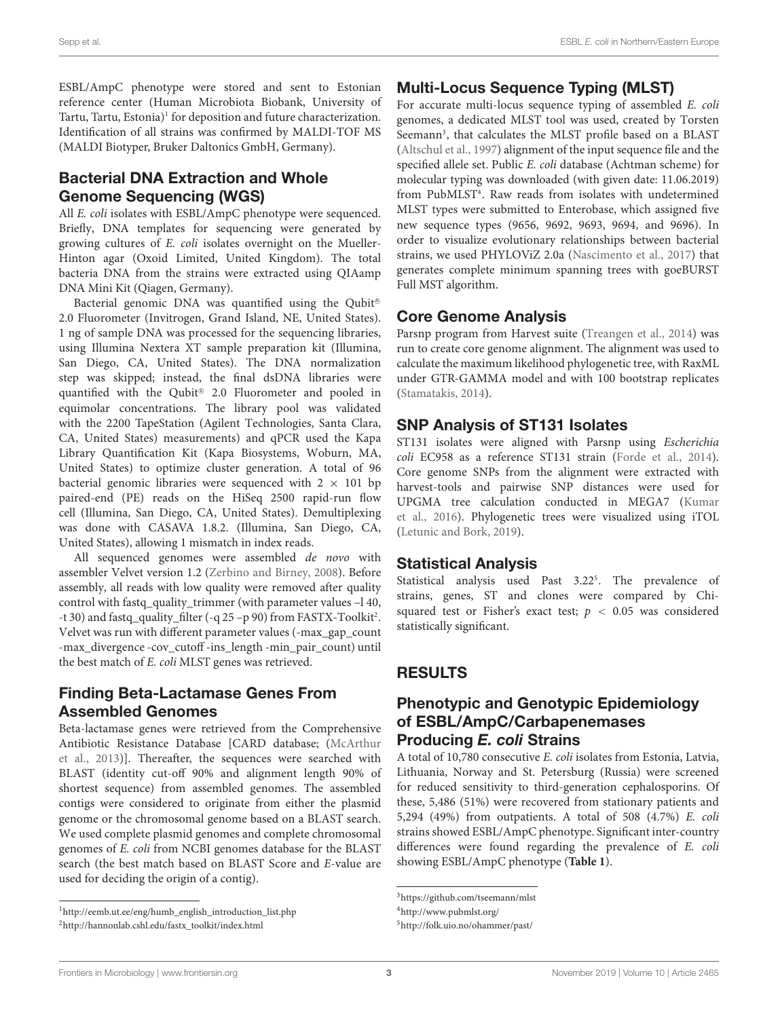ESBL/AmpC phenotype were stored and sent to Estonian reference center (Human Microbiota Biobank, University of Tartu, Tartu, Estonia)<sup>[1](#page-2-0)</sup> for deposition and future characterization. Identification of all strains was confirmed by MALDI-TOF MS (MALDI Biotyper, Bruker Daltonics GmbH, Germany).

# Bacterial DNA Extraction and Whole Genome Sequencing (WGS)

All *E. coli* isolates with ESBL/AmpC phenotype were sequenced. Briefly, DNA templates for sequencing were generated by growing cultures of E. coli isolates overnight on the Mueller-Hinton agar (Oxoid Limited, United Kingdom). The total bacteria DNA from the strains were extracted using QIAamp DNA Mini Kit (Qiagen, Germany).

Bacterial genomic DNA was quantified using the Qubit® 2.0 Fluorometer (Invitrogen, Grand Island, NE, United States). 1 ng of sample DNA was processed for the sequencing libraries, using Illumina Nextera XT sample preparation kit (Illumina, San Diego, CA, United States). The DNA normalization step was skipped; instead, the final dsDNA libraries were quantified with the Qubit® 2.0 Fluorometer and pooled in equimolar concentrations. The library pool was validated with the 2200 TapeStation (Agilent Technologies, Santa Clara, CA, United States) measurements) and qPCR used the Kapa Library Quantification Kit (Kapa Biosystems, Woburn, MA, United States) to optimize cluster generation. A total of 96 bacterial genomic libraries were sequenced with  $2 \times 101$  bp paired-end (PE) reads on the HiSeq 2500 rapid-run flow cell (Illumina, San Diego, CA, United States). Demultiplexing was done with CASAVA 1.8.2. (Illumina, San Diego, CA, United States), allowing 1 mismatch in index reads.

All sequenced genomes were assembled de novo with assembler Velvet version 1.2 [\(Zerbino and Birney,](#page-9-2) [2008\)](#page-9-2). Before assembly, all reads with low quality were removed after quality control with fastq\_quality\_trimmer (with parameter values -l 40, -t 30) and fastq\_quality\_filter (-q [2](#page-2-1)5 -p 90) from FASTX-Toolkit<sup>2</sup>. Velvet was run with different parameter values (-max\_gap\_count -max\_divergence -cov\_cutoff -ins\_length -min\_pair\_count) until the best match of E. coli MLST genes was retrieved.

# Finding Beta-Lactamase Genes From Assembled Genomes

Beta-lactamase genes were retrieved from the Comprehensive Antibiotic Resistance Database [CARD database; [\(McArthur](#page-8-5) [et al.,](#page-8-5) [2013\)](#page-8-5)]. Thereafter, the sequences were searched with BLAST (identity cut-off 90% and alignment length 90% of shortest sequence) from assembled genomes. The assembled contigs were considered to originate from either the plasmid genome or the chromosomal genome based on a BLAST search. We used complete plasmid genomes and complete chromosomal genomes of E. coli from NCBI genomes database for the BLAST search (the best match based on BLAST Score and E-value are used for deciding the origin of a contig).

# Multi-Locus Sequence Typing (MLST)

For accurate multi-locus sequence typing of assembled E. coli genomes, a dedicated MLST tool was used, created by Torsten Seemann<sup>[3](#page-2-2)</sup>, that calculates the MLST profile based on a BLAST [\(Altschul et al.,](#page-7-4) [1997\)](#page-7-4) alignment of the input sequence file and the specified allele set. Public E. coli database (Achtman scheme) for molecular typing was downloaded (with given date: 11.06.2019) from PubMLST<sup>[4](#page-2-3)</sup>. Raw reads from isolates with undetermined MLST types were submitted to Enterobase, which assigned five new sequence types (9656, 9692, 9693, 9694, and 9696). In order to visualize evolutionary relationships between bacterial strains, we used PHYLOViZ 2.0a [\(Nascimento et al.,](#page-8-6) [2017\)](#page-8-6) that generates complete minimum spanning trees with goeBURST Full MST algorithm.

# Core Genome Analysis

Parsnp program from Harvest suite [\(Treangen et al.,](#page-9-3) [2014\)](#page-9-3) was run to create core genome alignment. The alignment was used to calculate the maximum likelihood phylogenetic tree, with RaxML under GTR-GAMMA model and with 100 bootstrap replicates [\(Stamatakis,](#page-9-4) [2014\)](#page-9-4).

# SNP Analysis of ST131 Isolates

ST131 isolates were aligned with Parsnp using Escherichia coli EC958 as a reference ST131 strain [\(Forde et al.,](#page-8-7) [2014\)](#page-8-7). Core genome SNPs from the alignment were extracted with harvest-tools and pairwise SNP distances were used for UPGMA tree calculation conducted in MEGA7 [\(Kumar](#page-8-8) [et al.,](#page-8-8) [2016\)](#page-8-8). Phylogenetic trees were visualized using iTOL [\(Letunic and Bork,](#page-8-9) [2019\)](#page-8-9).

### Statistical Analysis

Statistical analysis used Past 3.22<sup>[5](#page-2-4)</sup>. The prevalence of strains, genes, ST and clones were compared by Chisquared test or Fisher's exact test;  $p < 0.05$  was considered statistically significant.

# RESULTS

# Phenotypic and Genotypic Epidemiology of ESBL/AmpC/Carbapenemases Producing E. coli Strains

A total of 10,780 consecutive E. coli isolates from Estonia, Latvia, Lithuania, Norway and St. Petersburg (Russia) were screened for reduced sensitivity to third-generation cephalosporins. Of these, 5,486 (51%) were recovered from stationary patients and 5,294 (49%) from outpatients. A total of 508 (4.7%) E. coli strains showed ESBL/AmpC phenotype. Significant inter-country differences were found regarding the prevalence of E. coli showing ESBL/AmpC phenotype (**[Table 1](#page-3-0)**).

<span id="page-2-0"></span><sup>1</sup>[http://eemb.ut.ee/eng/humb\\_english\\_introduction\\_list.php](http://eemb.ut.ee/eng/humb_english_introduction_list.php)

<span id="page-2-1"></span><sup>2</sup>[http://hannonlab.cshl.edu/fastx\\_toolkit/index.html](http://hannonlab.cshl.edu/fastx_toolkit/index.html)

<span id="page-2-2"></span><sup>3</sup><https://github.com/tseemann/mlst>

<span id="page-2-3"></span><sup>4</sup><http://www.pubmlst.org/>

<span id="page-2-4"></span><sup>5</sup><http://folk.uio.no/ohammer/past/>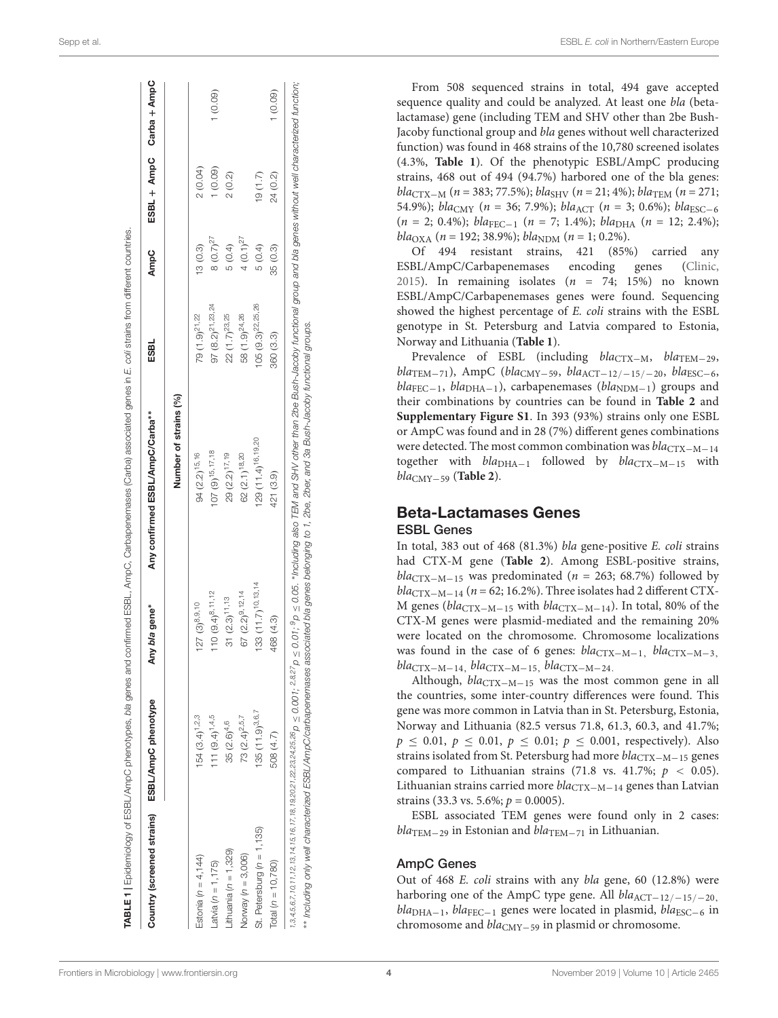| Country (screened strains)  | ESBL/AmpC phenotype     | Any bla gene*         | Any confirmed ESBL/AmpC/Carba** | ESBL                          | AmpC          |          | ESBL + AmpC Carba + AmpC |
|-----------------------------|-------------------------|-----------------------|---------------------------------|-------------------------------|---------------|----------|--------------------------|
|                             |                         |                       | Number of strains (%)           |                               |               |          |                          |
| Estonia ( $n = 4, 144$ )    | $154(3.4)^{1,2,3}$      | $127(3)^{8,9,10}$     | 94 (2.2) <sup>15,16</sup>       | 79 (1.9) <sup>21,22</sup>     | 13(0.3)       | 2(0.04)  |                          |
| $-$ atvia ( $n = 1, 175$ )  | $111 (9.4)^{1,4,5}$     | $110(9.4)^{8.11.12}$  | $107(9)^{15,17,18}$             | $97 (8.2)^{21,23,24}$         | $8(0.7)^{27}$ | (0.09)   | (0.09)                   |
| $it$ huania ( $n = 1,329$ ) | 35 (2.6) <sup>4,6</sup> | $31 (2.3)^{11,13}$    | 29 (2.2) <sup>17,19</sup>       | 22 (1.7) <sup>23,25</sup>     | 5(0.4)        | 2(0.2)   |                          |
| Norway $(n = 3,006)$        | $73$ $(2.4)^{2.5.7}$    | 67 $(2.2)^{9,12,14}$  | 62 (2.1) <sup>18,20</sup>       | 58 (1.9) <sup>24,26</sup>     | $4(0.1)^{27}$ |          |                          |
| St. Petersburg (n = 1,135)  | $135(11.9)^{3.6.7}$     | 133 (11.7) 10, 13, 14 | 129 (11.4) <sup>16,19,20</sup>  | 105 (9.3) <sup>22,25,26</sup> | 5(0.4)        | (1.7)    |                          |
| Total $(n = 10, 780)$       | 508 (4.7)               | 468 (4.3)             | 421 (3.9)                       | 360 (3.3)                     | 35 (0.3)      | 24 (0.2) | (0.09)                   |

∗∗ Including only well characterized ESBL/AmpC/carbapenemases associated bla genes belonging to 1, 2be, 2ber, and 3a Bush-Jacoby functional groups.

From 508 sequenced strains in total, 494 gave accepted sequence quality and could be analyzed. At least one bla (betalactamase) gene (including TEM and SHV other than 2be Bush-Jacoby functional group and bla genes without well characterized function) was found in 468 strains of the 10,780 screened isolates (4.3%, **[Table 1](#page-3-0)**). Of the phenotypic ESBL/AmpC producing strains, 468 out of 494 (94.7%) harbored one of the bla genes: bla<sub>CTX−M</sub> (n = 383; 77.5%); bla<sub>SHV</sub> (n = 21; 4%); bla<sub>TEM</sub> (n = 271; 54.9%); bla<sub>CMY</sub> (n = 36; 7.9%); bla<sub>ACT</sub> (n = 3; 0.6%); bla<sub>ESC-6</sub>  $(n = 2; 0.4\%); bla_{\text{FEC}-1}$   $(n = 7; 1.4\%); bla_{\text{DHA}}$   $(n = 12; 2.4\%);$ bla<sub>OXA</sub> (n = 192; 38.9%); bla<sub>NDM</sub> (n = 1; 0.2%).

Of 494 resistant strains, 421 (85%) carried any ESBL/AmpC/Carbapenemases encoding genes [\(Clinic,](#page-8-10) [2015\)](#page-8-10). In remaining isolates  $(n = 74; 15%)$  no known ESBL/AmpC/Carbapenemases genes were found. Sequencing showed the highest percentage of E. coli strains with the ESBL genotype in St. Petersburg and Latvia compared to Estonia, Norway and Lithuania (**[Table 1](#page-3-0)**).

Prevalence of ESBL (including  $bla_{\text{CTX}-M}$ ,  $bla_{\text{TEM}-29}$ ,  $bla<sub>TEM–71</sub>$ ), AmpC (bla<sub>CMY-59</sub>, bla<sub>ACT-12/-15/-20</sub>, bla<sub>ESC-6</sub>,  $bla_{\text{FEC}-1}$ ,  $bla_{\text{DHA}-1}$ ), carbapenemases ( $bla_{\text{NDM}-1}$ ) groups and their combinations by countries can be found in **[Table 2](#page-4-0)** and **[Supplementary Figure S1](#page-7-5)**. In 393 (93%) strains only one ESBL or AmpC was found and in 28 (7%) different genes combinations were detected. The most common combination was  $bla_{\text{CTX}-\text{M}-14}$ together with  $bla<sub>DHA-1</sub>$  followed by  $bla<sub>CTX-M-15</sub>$  with blaCMY−<sup>59</sup> (**[Table 2](#page-4-0)**).

#### Beta-Lactamases Genes ESBL Genes

In total, 383 out of 468 (81.3%) bla gene-positive E. coli strains had CTX-M gene (**[Table 2](#page-4-0)**). Among ESBL-positive strains,  $bla_{\text{CTX}-\text{M}-15}$  was predominated (*n* = 263; 68.7%) followed by  $bla_{\text{CTX}-\text{M}-14}$  (n = 62; 16.2%). Three isolates had 2 different CTX-M genes ( $bla_{\text{CTX}-M-15}$  with  $bla_{\text{CTX}-M-14}$ ). In total, 80% of the CTX-M genes were plasmid-mediated and the remaining 20% were located on the chromosome. Chromosome localizations was found in the case of 6 genes:  $bla_{\text{CTX}-M-1}$ ,  $bla_{\text{CTX}-M-3}$ ,  $bla_{\text{CTX}-\text{M}-14}$ ,  $bla_{\text{CTX}-\text{M}-15}$ ,  $bla_{\text{CTX}-\text{M}-24}$ .

Although,  $bla_{\text{CTX}-\text{M}-15}$  was the most common gene in all the countries, some inter-country differences were found. This gene was more common in Latvia than in St. Petersburg, Estonia, Norway and Lithuania (82.5 versus 71.8, 61.3, 60.3, and 41.7%;  $p \le 0.01, p \le 0.01, p \le 0.01; p \le 0.001$ , respectively). Also strains isolated from St. Petersburg had more bla<sub>CTX−M−15</sub> genes compared to Lithuanian strains (71.8 vs. 41.7%;  $p < 0.05$ ). Lithuanian strains carried more  $bla_{\text{CTX}-\text{M}-14}$  genes than Latvian strains (33.3 vs. 5.6%;  $p = 0.0005$ ).

ESBL associated TEM genes were found only in 2 cases:  $bla<sub>TEM-29</sub>$  in Estonian and  $bla<sub>TEM-71</sub>$  in Lithuanian.

#### AmpC Genes

<span id="page-3-0"></span>Out of 468 E. coli strains with any bla gene, 60 (12.8%) were harboring one of the AmpC type gene. All  $bla_{\text{ACT}-12/-15/-20}$ ,  $bla<sub>DHA−1</sub>$ ,  $bla<sub>FEC−1</sub>$  genes were located in plasmid,  $bla<sub>ESC−6</sub>$  in chromosome and  $bla_{CMY-59}$  in plasmid or chromosome.

**ABLE 1** I Epidemioloav of ESBL/AmoC phenotypes, bla genes and confirmed ESBL. AmoC. Carbapenases (Carba) associated genes in E. coll strains from different countries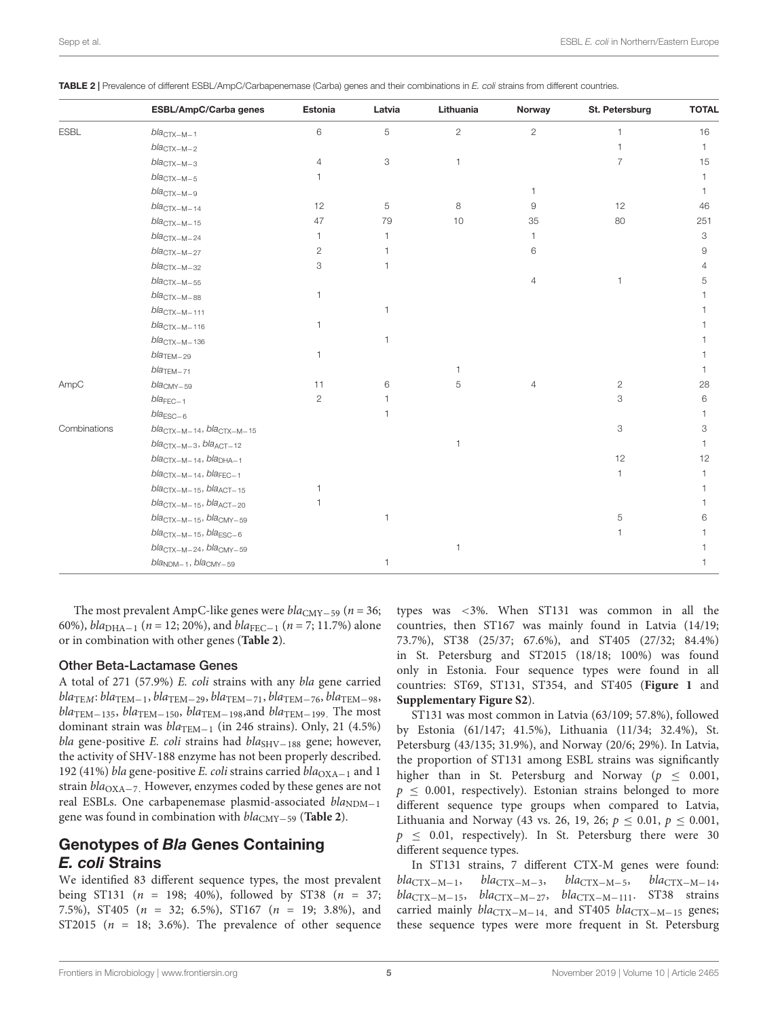|              | ESBL/AmpC/Carba genes                                  | Estonia        | Latvia       | Lithuania      | Norway         | St. Petersburg | <b>TOTAL</b> |
|--------------|--------------------------------------------------------|----------------|--------------|----------------|----------------|----------------|--------------|
| <b>ESBL</b>  | $blaCTX-M-1$                                           | 6              | 5            | $\overline{2}$ | $\overline{2}$ |                | 16           |
|              | $blaCTX-M-2$                                           |                |              |                |                |                |              |
|              | $bla_{\text{CTX}-\text{M}-3}$                          | $\overline{4}$ | 3            | $\mathbf{1}$   |                | $\overline{7}$ | 15           |
|              | $blaCTX-M-5$                                           | 1.             |              |                |                |                |              |
|              | $bla_{CTX-M-9}$                                        |                |              |                |                |                |              |
|              | $blaCTX-M-14$                                          | 12             | 5            | 8              | 9              | 12             | 46           |
|              | $bla_{CTX-M-15}$                                       | 47             | 79           | 10             | 35             | 80             | 251          |
|              | $blaCTX-M-24$                                          | $\mathbf{1}$   | $\mathbf{1}$ |                | 1              |                | 3            |
|              | $blaCTX-M-27$                                          | $\overline{2}$ | 1            |                | 6              |                | 9            |
|              | $bla_{\text{CTX}-\text{M}-32}$                         | 3              | $\mathbf{1}$ |                |                |                | 4            |
|              | $bla_{\text{CTX}-\text{M}-55}$                         |                |              |                | $\overline{4}$ | 1              | 5            |
|              | $blaCTX-M-88$                                          | $\mathbf{1}$   |              |                |                |                |              |
|              | $blaCTX-M-111$                                         |                | $\mathbf{1}$ |                |                |                |              |
|              | $blaCTX-M-116$                                         | $\mathbf{1}$   |              |                |                |                |              |
|              | $blaCTX-M-136$                                         |                | $\mathbf{1}$ |                |                |                |              |
|              | $bla$ <sub>TEM<math>-29</math></sub>                   | $\mathbf{1}$   |              |                |                |                |              |
|              | $bla$ <sub>TEM<math>-71</math></sub>                   |                |              | $\mathbf{1}$   |                |                |              |
| AmpC         | $bla_{CMY-59}$                                         | 11             | 6            | 5              | $\overline{4}$ | $\overline{2}$ | 28           |
|              | $bla_{\text{FEC}-1}$                                   | $\mathbf{2}$   | 1            |                |                | З              | 6            |
|              | $bla_{\text{ESC}-6}$                                   |                | $\mathbf{1}$ |                |                |                |              |
| Combinations | $bla_{CTX-M-14}$ , $bla_{CTX-M-15}$                    |                |              |                |                | 3              | 3            |
|              | $bla_{CTX-M-3}$ , $bla_{ACT-12}$                       |                |              | $\mathbf{1}$   |                |                |              |
|              | $bla_{CTX-M-14}$ , $bla_{DHA-1}$                       |                |              |                |                | 12             | 12           |
|              | $bla_{\text{CTX}-\text{M}-14}$ , $bla_{\text{FEC}-1}$  |                |              |                |                | 1              |              |
|              | $blaCTX-M-15, blaACT-15$                               | $\mathbf{1}$   |              |                |                |                |              |
|              | $bla_{CTX-M-15}$ , $bla_{ACT-20}$                      | $\mathbf{1}$   |              |                |                |                |              |
|              | $bla_{\text{CTX}-\text{M}-15}$ , $bla_{\text{CMY}-59}$ |                | $\mathbf{1}$ |                |                | 5              | 6            |
|              | $bla_{\text{CTX}-\text{M}-15}$ , $bla_{\text{ESC}-6}$  |                |              |                |                |                |              |
|              | bla <sub>CTX-M-24</sub> , bla <sub>CMY-59</sub>        |                |              | $\overline{1}$ |                |                |              |
|              | bla <sub>NDM-1</sub> , bla <sub>CMY-59</sub>           |                | 1            |                |                |                |              |

<span id="page-4-0"></span>TABLE 2 | Prevalence of different ESBL/AmpC/Carbapenemase (Carba) genes and their combinations in E. coli strains from different countries.

The most prevalent AmpC-like genes were  $bla_{CMY-59}$  (n = 36; 60%),  $bla<sub>DHA-1</sub>$  (n = 12; 20%), and  $bla<sub>FEC-1</sub>$  (n = 7; 11.7%) alone or in combination with other genes (**[Table 2](#page-4-0)**).

#### Other Beta-Lactamase Genes

A total of 271 (57.9%) E. coli strains with any bla gene carried  $bla_{\text{TEM}}: bla_{\text{TEM}-1}, bla_{\text{TEM}-29}, bla_{\text{TEM}-71}, bla_{\text{TEM}-76}, bla_{\text{TEM}-98},$  $bla_{\text{TEM}-135}$ ,  $bla_{\text{TEM}-150}$ ,  $bla_{\text{TEM}-198}$ , and  $bla_{\text{TEM}-199}$ . The most dominant strain was  $bla_{\text{TEM}-1}$  (in 246 strains). Only, 21 (4.5%) bla gene-positive E. coli strains had bla<sub>SHV−188</sub> gene; however, the activity of SHV-188 enzyme has not been properly described. 192 (41%) bla gene-positive E. coli strains carried bla<sub>OXA−1</sub> and 1 strain *bla*<sub>OXA−7</sub>. However, enzymes coded by these genes are not real ESBLs. One carbapenemase plasmid-associated  $bla_{NDM-1}$ gene was found in combination with blaCMY−<sup>59</sup> (**[Table 2](#page-4-0)**).

# Genotypes of Bla Genes Containing E. coli Strains

We identified 83 different sequence types, the most prevalent being ST131 ( $n = 198$ ; 40%), followed by ST38 ( $n = 37$ ; 7.5%), ST405 (n = 32; 6.5%), ST167 (n = 19; 3.8%), and ST2015 ( $n = 18$ ; 3.6%). The prevalence of other sequence

types was <3%. When ST131 was common in all the countries, then ST167 was mainly found in Latvia (14/19; 73.7%), ST38 (25/37; 67.6%), and ST405 (27/32; 84.4%) in St. Petersburg and ST2015 (18/18; 100%) was found only in Estonia. Four sequence types were found in all countries: ST69, ST131, ST354, and ST405 (**[Figure 1](#page-5-0)** and **[Supplementary Figure S2](#page-7-5)**).

ST131 was most common in Latvia (63/109; 57.8%), followed by Estonia (61/147; 41.5%), Lithuania (11/34; 32.4%), St. Petersburg (43/135; 31.9%), and Norway (20/6; 29%). In Latvia, the proportion of ST131 among ESBL strains was significantly higher than in St. Petersburg and Norway ( $p \le 0.001$ ,  $p \leq 0.001$ , respectively). Estonian strains belonged to more different sequence type groups when compared to Latvia, Lithuania and Norway (43 vs. 26, 19, 26;  $p \le 0.01$ ,  $p \le 0.001$ ,  $p \le 0.01$ , respectively). In St. Petersburg there were 30 different sequence types.

In ST131 strains, 7 different CTX-M genes were found:  $bla_{\text{CTX}-\text{M}-1}$ ,  $bla_{\text{CTX}-\text{M}-3}$ ,  $bla_{\text{CTX}-\text{M}-14}$ , blaCTX−M−15, blaCTX−M−27, blaCTX−M−111. ST38 strains carried mainly bla<sub>CTX−M−14</sub>, and ST405 bla<sub>CTX−M−15</sub> genes; these sequence types were more frequent in St. Petersburg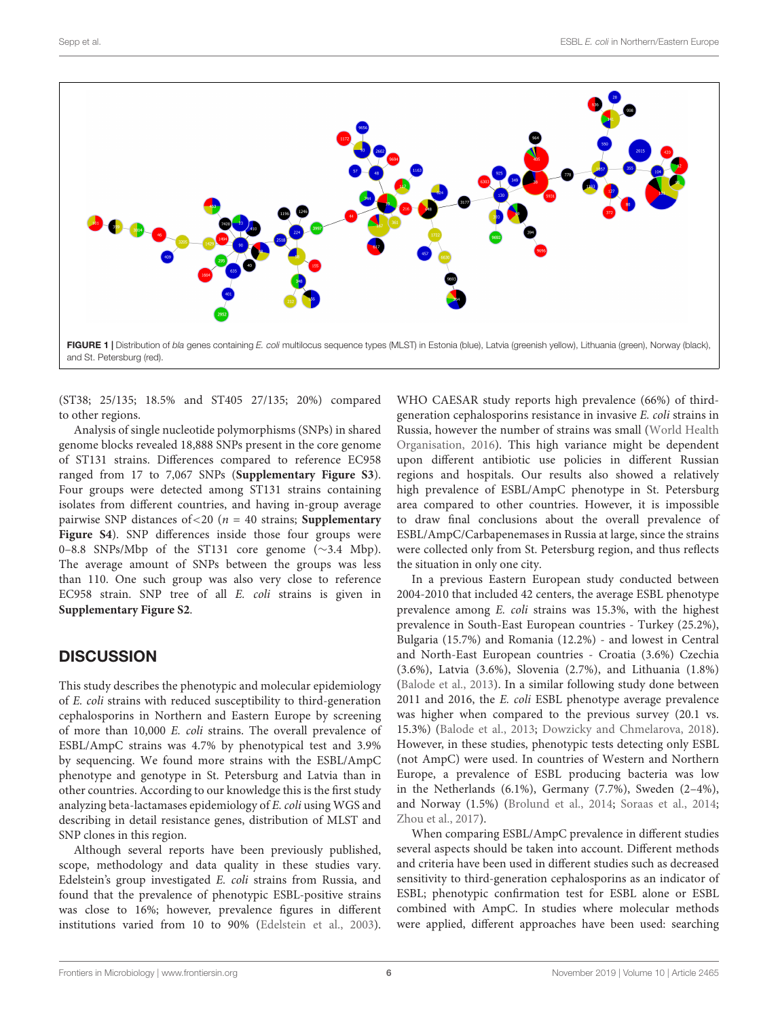

<span id="page-5-0"></span>(ST38; 25/135; 18.5% and ST405 27/135; 20%) compared to other regions.

Analysis of single nucleotide polymorphisms (SNPs) in shared genome blocks revealed 18,888 SNPs present in the core genome of ST131 strains. Differences compared to reference EC958 ranged from 17 to 7,067 SNPs (**[Supplementary Figure S3](#page-7-5)**). Four groups were detected among ST131 strains containing isolates from different countries, and having in-group average pairwise SNP distances of<20 (n = 40 strains; **[Supplementary](#page-7-5)** [Figure S4](#page-7-5)). SNP differences inside those four groups were 0–8.8 SNPs/Mbp of the ST131 core genome (∼3.4 Mbp). The average amount of SNPs between the groups was less than 110. One such group was also very close to reference EC958 strain. SNP tree of all E. coli strains is given in **[Supplementary Figure S2](#page-7-5)**.

### **DISCUSSION**

This study describes the phenotypic and molecular epidemiology of E. coli strains with reduced susceptibility to third-generation cephalosporins in Northern and Eastern Europe by screening of more than 10,000 E. coli strains. The overall prevalence of ESBL/AmpC strains was 4.7% by phenotypical test and 3.9% by sequencing. We found more strains with the ESBL/AmpC phenotype and genotype in St. Petersburg and Latvia than in other countries. According to our knowledge this is the first study analyzing beta-lactamases epidemiology of E. coli using WGS and describing in detail resistance genes, distribution of MLST and SNP clones in this region.

Although several reports have been previously published, scope, methodology and data quality in these studies vary. Edelstein's group investigated E. coli strains from Russia, and found that the prevalence of phenotypic ESBL-positive strains was close to 16%; however, prevalence figures in different institutions varied from 10 to 90% [\(Edelstein et al.,](#page-8-2) [2003\)](#page-8-2).

WHO CAESAR study reports high prevalence (66%) of thirdgeneration cephalosporins resistance in invasive E. coli strains in Russia, however the number of strains was small [\(World Health](#page-9-0) [Organisation,](#page-9-0) [2016\)](#page-9-0). This high variance might be dependent upon different antibiotic use policies in different Russian regions and hospitals. Our results also showed a relatively high prevalence of ESBL/AmpC phenotype in St. Petersburg area compared to other countries. However, it is impossible to draw final conclusions about the overall prevalence of ESBL/AmpC/Carbapenemases in Russia at large, since the strains were collected only from St. Petersburg region, and thus reflects the situation in only one city.

In a previous Eastern European study conducted between 2004-2010 that included 42 centers, the average ESBL phenotype prevalence among E. coli strains was 15.3%, with the highest prevalence in South-East European countries - Turkey (25.2%), Bulgaria (15.7%) and Romania (12.2%) - and lowest in Central and North-East European countries - Croatia (3.6%) Czechia (3.6%), Latvia (3.6%), Slovenia (2.7%), and Lithuania (1.8%) [\(Balode et al.,](#page-7-6) [2013\)](#page-7-6). In a similar following study done between 2011 and 2016, the E. coli ESBL phenotype average prevalence was higher when compared to the previous survey (20.1 vs. 15.3%) [\(Balode et al.,](#page-7-6) [2013;](#page-7-6) [Dowzicky and Chmelarova,](#page-8-11) [2018\)](#page-8-11). However, in these studies, phenotypic tests detecting only ESBL (not AmpC) were used. In countries of Western and Northern Europe, a prevalence of ESBL producing bacteria was low in the Netherlands (6.1%), Germany (7.7%), Sweden (2–4%), and Norway (1.5%) [\(Brolund et al.,](#page-7-7) [2014;](#page-7-7) [Soraas et al.,](#page-9-5) [2014;](#page-9-5) [Zhou et al.,](#page-9-6) [2017\)](#page-9-6).

When comparing ESBL/AmpC prevalence in different studies several aspects should be taken into account. Different methods and criteria have been used in different studies such as decreased sensitivity to third-generation cephalosporins as an indicator of ESBL; phenotypic confirmation test for ESBL alone or ESBL combined with AmpC. In studies where molecular methods were applied, different approaches have been used: searching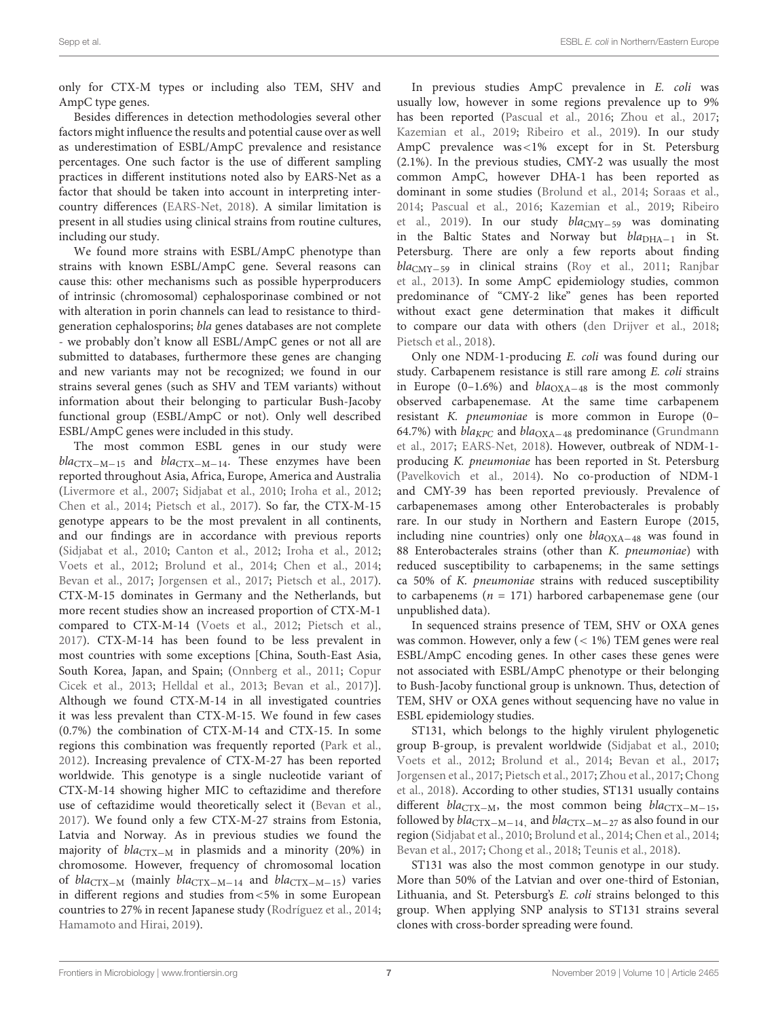only for CTX-M types or including also TEM, SHV and AmpC type genes.

Besides differences in detection methodologies several other factors might influence the results and potential cause over as well as underestimation of ESBL/AmpC prevalence and resistance percentages. One such factor is the use of different sampling practices in different institutions noted also by EARS-Net as a factor that should be taken into account in interpreting intercountry differences [\(EARS-Net,](#page-8-1) [2018\)](#page-8-1). A similar limitation is present in all studies using clinical strains from routine cultures, including our study.

We found more strains with ESBL/AmpC phenotype than strains with known ESBL/AmpC gene. Several reasons can cause this: other mechanisms such as possible hyperproducers of intrinsic (chromosomal) cephalosporinase combined or not with alteration in porin channels can lead to resistance to thirdgeneration cephalosporins; bla genes databases are not complete - we probably don't know all ESBL/AmpC genes or not all are submitted to databases, furthermore these genes are changing and new variants may not be recognized; we found in our strains several genes (such as SHV and TEM variants) without information about their belonging to particular Bush-Jacoby functional group (ESBL/AmpC or not). Only well described ESBL/AmpC genes were included in this study.

The most common ESBL genes in our study were  $bla_{\text{CTX}-\text{M}-15}$  and  $bla_{\text{CTX}-\text{M}-14}$ . These enzymes have been reported throughout Asia, Africa, Europe, America and Australia [\(Livermore et al.,](#page-8-12) [2007;](#page-8-12) [Sidjabat et al.,](#page-9-7) [2010;](#page-9-7) [Iroha et al.,](#page-8-13) [2012;](#page-8-13) [Chen et al.,](#page-8-14) [2014;](#page-8-14) [Pietsch et al.,](#page-8-15) [2017\)](#page-8-15). So far, the CTX-M-15 genotype appears to be the most prevalent in all continents, and our findings are in accordance with previous reports [\(Sidjabat et al.,](#page-9-7) [2010;](#page-9-7) [Canton et al.,](#page-7-8) [2012;](#page-7-8) [Iroha et al.,](#page-8-13) [2012;](#page-8-13) [Voets et al.,](#page-9-8) [2012;](#page-9-8) [Brolund et al.,](#page-7-7) [2014;](#page-7-7) [Chen et al.,](#page-8-14) [2014;](#page-8-14) [Bevan et al.,](#page-7-3) [2017;](#page-7-3) [Jorgensen et al.,](#page-8-16) [2017;](#page-8-16) [Pietsch et al.,](#page-8-15) [2017\)](#page-8-15). CTX-M-15 dominates in Germany and the Netherlands, but more recent studies show an increased proportion of CTX-M-1 compared to CTX-M-14 [\(Voets et al.,](#page-9-8) [2012;](#page-9-8) [Pietsch et al.,](#page-8-15) [2017\)](#page-8-15). CTX-M-14 has been found to be less prevalent in most countries with some exceptions [China, South-East Asia, South Korea, Japan, and Spain; [\(Onnberg et al.,](#page-8-17) [2011;](#page-8-17) [Copur](#page-8-18) [Cicek et al.,](#page-8-18) [2013;](#page-8-18) [Helldal et al.,](#page-8-19) [2013;](#page-8-19) [Bevan et al.,](#page-7-3) [2017\)](#page-7-3)]. Although we found CTX-M-14 in all investigated countries it was less prevalent than CTX-M-15. We found in few cases (0.7%) the combination of CTX-M-14 and CTX-15. In some regions this combination was frequently reported [\(Park et al.,](#page-8-20) [2012\)](#page-8-20). Increasing prevalence of CTX-M-27 has been reported worldwide. This genotype is a single nucleotide variant of CTX-M-14 showing higher MIC to ceftazidime and therefore use of ceftazidime would theoretically select it [\(Bevan et al.,](#page-7-3) [2017\)](#page-7-3). We found only a few CTX-M-27 strains from Estonia, Latvia and Norway. As in previous studies we found the majority of  $bla_{\text{CTX}-M}$  in plasmids and a minority (20%) in chromosome. However, frequency of chromosomal location of blaCTX−<sup>M</sup> (mainly blaCTX−M−<sup>14</sup> and blaCTX−M−15) varies in different regions and studies from<5% in some European countries to 27% in recent Japanese study [\(Rodríguez et al.,](#page-8-21) [2014;](#page-8-21) [Hamamoto and Hirai,](#page-8-22) [2019\)](#page-8-22).

In previous studies AmpC prevalence in E. coli was usually low, however in some regions prevalence up to 9% has been reported [\(Pascual et al.,](#page-8-23) [2016;](#page-8-23) [Zhou et al.,](#page-9-6) [2017;](#page-9-6) [Kazemian et al.,](#page-8-24) [2019;](#page-8-24) [Ribeiro et al.,](#page-8-25) [2019\)](#page-8-25). In our study AmpC prevalence was<1% except for in St. Petersburg (2.1%). In the previous studies, CMY-2 was usually the most common AmpC, however DHA-1 has been reported as dominant in some studies [\(Brolund et al.,](#page-7-7) [2014;](#page-7-7) [Soraas et al.,](#page-9-5) [2014;](#page-9-5) [Pascual et al.,](#page-8-23) [2016;](#page-8-23) [Kazemian et al.,](#page-8-24) [2019;](#page-8-24) [Ribeiro](#page-8-25) [et al.,](#page-8-25) [2019\)](#page-8-25). In our study bla<sub>CMY−59</sub> was dominating in the Baltic States and Norway but  $bla<sub>DHA−1</sub>$  in St. Petersburg. There are only a few reports about finding blaCMY−<sup>59</sup> in clinical strains [\(Roy et al.,](#page-9-9) [2011;](#page-9-9) [Ranjbar](#page-8-26) [et al.,](#page-8-26) [2013\)](#page-8-26). In some AmpC epidemiology studies, common predominance of "CMY-2 like" genes has been reported without exact gene determination that makes it difficult to compare our data with others [\(den Drijver et al.,](#page-8-27) [2018;](#page-8-27) [Pietsch et al.,](#page-8-28) [2018\)](#page-8-28).

Only one NDM-1-producing E. coli was found during our study. Carbapenem resistance is still rare among E. coli strains in Europe (0–1.6%) and  $bla_{\text{OXA}-48}$  is the most commonly observed carbapenemase. At the same time carbapenem resistant K. pneumoniae is more common in Europe (0– 64.7%) with *bla<sub>KPC</sub>* and *bla*<sub>OXA−48</sub> predominance [\(Grundmann](#page-8-29) [et al.,](#page-8-29) [2017;](#page-8-29) [EARS-Net,](#page-8-1) [2018\)](#page-8-1). However, outbreak of NDM-1 producing K. pneumoniae has been reported in St. Petersburg [\(Pavelkovich et al.,](#page-8-30) [2014\)](#page-8-30). No co-production of NDM-1 and CMY-39 has been reported previously. Prevalence of carbapenemases among other Enterobacterales is probably rare. In our study in Northern and Eastern Europe (2015, including nine countries) only one  $bla<sub>OXA-48</sub>$  was found in 88 Enterobacterales strains (other than *K. pneumoniae*) with reduced susceptibility to carbapenems; in the same settings ca 50% of K. pneumoniae strains with reduced susceptibility to carbapenems ( $n = 171$ ) harbored carbapenemase gene (our unpublished data).

In sequenced strains presence of TEM, SHV or OXA genes was common. However, only a few (< 1%) TEM genes were real ESBL/AmpC encoding genes. In other cases these genes were not associated with ESBL/AmpC phenotype or their belonging to Bush-Jacoby functional group is unknown. Thus, detection of TEM, SHV or OXA genes without sequencing have no value in ESBL epidemiology studies.

ST131, which belongs to the highly virulent phylogenetic group B-group, is prevalent worldwide [\(Sidjabat et al.,](#page-9-7) [2010;](#page-9-7) [Voets et al.,](#page-9-8) [2012;](#page-9-8) [Brolund et al.,](#page-7-7) [2014;](#page-7-7) [Bevan et al.,](#page-7-3) [2017;](#page-7-3) [Jorgensen et al.,](#page-8-16) [2017;](#page-8-16) [Pietsch et al.,](#page-8-15) [2017;](#page-8-15) [Zhou et al.,](#page-9-6) [2017;](#page-9-6) [Chong](#page-8-31) [et al.,](#page-8-31) [2018\)](#page-8-31). According to other studies, ST131 usually contains different bla<sub>CTX−M</sub>, the most common being bla<sub>CTX−M−15</sub>, followed by  $bla_{\text{CTX}-\text{M}-14}$ , and  $bla_{\text{CTX}-\text{M}-27}$  as also found in our region [\(Sidjabat et al.,](#page-9-7) [2010;](#page-9-7) [Brolund et al.,](#page-7-7) [2014;](#page-7-7) [Chen et al.,](#page-8-14) [2014;](#page-8-14) [Bevan et al.,](#page-7-3) [2017;](#page-7-3) [Chong et al.,](#page-8-31) [2018;](#page-8-31) [Teunis et al.,](#page-9-10) [2018\)](#page-9-10).

ST131 was also the most common genotype in our study. More than 50% of the Latvian and over one-third of Estonian, Lithuania, and St. Petersburg's E. coli strains belonged to this group. When applying SNP analysis to ST131 strains several clones with cross-border spreading were found.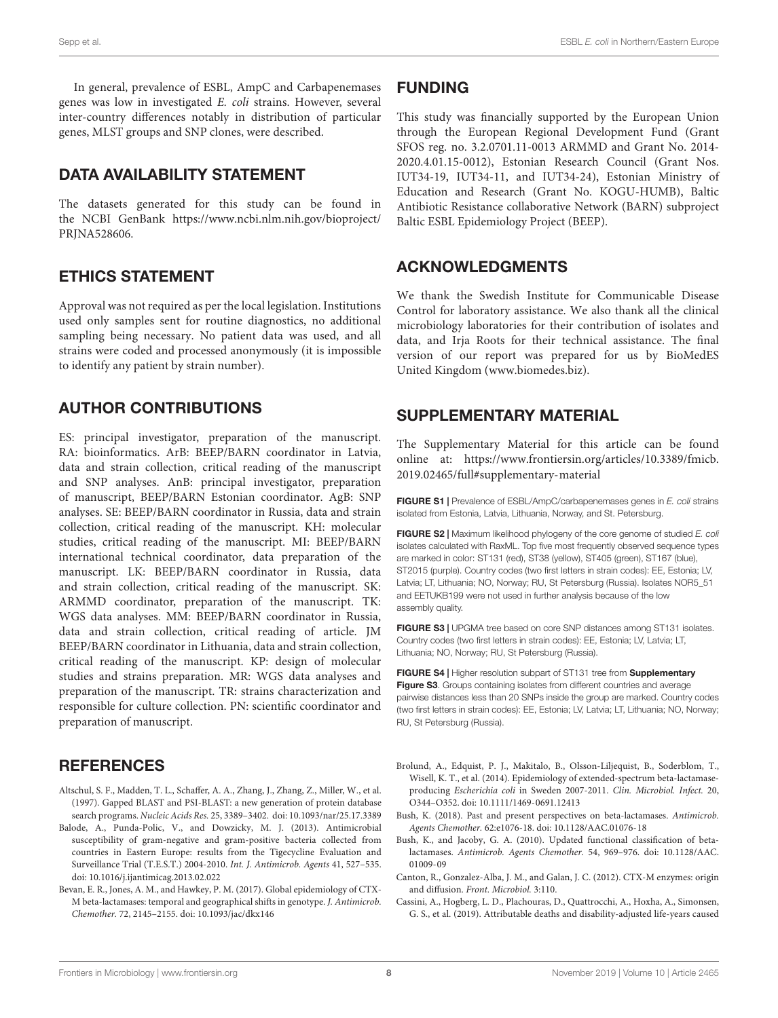In general, prevalence of ESBL, AmpC and Carbapenemases genes was low in investigated E. coli strains. However, several inter-country differences notably in distribution of particular genes, MLST groups and SNP clones, were described.

# DATA AVAILABILITY STATEMENT

The datasets generated for this study can be found in the NCBI GenBank [https://www.ncbi.nlm.nih.gov/bioproject/](https://www.ncbi.nlm.nih.gov/bioproject/PRJNA528606) [PRJNA528606.](https://www.ncbi.nlm.nih.gov/bioproject/PRJNA528606)

### ETHICS STATEMENT

Approval was not required as per the local legislation. Institutions used only samples sent for routine diagnostics, no additional sampling being necessary. No patient data was used, and all strains were coded and processed anonymously (it is impossible to identify any patient by strain number).

# AUTHOR CONTRIBUTIONS

ES: principal investigator, preparation of the manuscript. RA: bioinformatics. ArB: BEEP/BARN coordinator in Latvia, data and strain collection, critical reading of the manuscript and SNP analyses. AnB: principal investigator, preparation of manuscript, BEEP/BARN Estonian coordinator. AgB: SNP analyses. SE: BEEP/BARN coordinator in Russia, data and strain collection, critical reading of the manuscript. KH: molecular studies, critical reading of the manuscript. MI: BEEP/BARN international technical coordinator, data preparation of the manuscript. LK: BEEP/BARN coordinator in Russia, data and strain collection, critical reading of the manuscript. SK: ARMMD coordinator, preparation of the manuscript. TK: WGS data analyses. MM: BEEP/BARN coordinator in Russia, data and strain collection, critical reading of article. JM BEEP/BARN coordinator in Lithuania, data and strain collection, critical reading of the manuscript. KP: design of molecular studies and strains preparation. MR: WGS data analyses and preparation of the manuscript. TR: strains characterization and responsible for culture collection. PN: scientific coordinator and preparation of manuscript.

# **REFERENCES**

- <span id="page-7-4"></span>Altschul, S. F., Madden, T. L., Schaffer, A. A., Zhang, J., Zhang, Z., Miller, W., et al. (1997). Gapped BLAST and PSI-BLAST: a new generation of protein database search programs. Nucleic Acids Res. 25, 3389–3402. [doi: 10.1093/nar/25.17.3389](https://doi.org/10.1093/nar/25.17.3389)
- <span id="page-7-6"></span>Balode, A., Punda-Polic, V., and Dowzicky, M. J. (2013). Antimicrobial susceptibility of gram-negative and gram-positive bacteria collected from countries in Eastern Europe: results from the Tigecycline Evaluation and Surveillance Trial (T.E.S.T.) 2004-2010. Int. J. Antimicrob. Agents 41, 527–535. [doi: 10.1016/j.ijantimicag.2013.02.022](https://doi.org/10.1016/j.ijantimicag.2013.02.022)
- <span id="page-7-3"></span>Bevan, E. R., Jones, A. M., and Hawkey, P. M. (2017). Global epidemiology of CTX-M beta-lactamases: temporal and geographical shifts in genotype. J. Antimicrob. Chemother. 72, 2145–2155. [doi: 10.1093/jac/dkx146](https://doi.org/10.1093/jac/dkx146)

### FUNDING

This study was financially supported by the European Union through the European Regional Development Fund (Grant SFOS reg. no. 3.2.0701.11-0013 ARMMD and Grant No. 2014- 2020.4.01.15-0012), Estonian Research Council (Grant Nos. IUT34-19, IUT34-11, and IUT34-24), Estonian Ministry of Education and Research (Grant No. KOGU-HUMB), Baltic Antibiotic Resistance collaborative Network (BARN) subproject Baltic ESBL Epidemiology Project (BEEP).

### ACKNOWLEDGMENTS

We thank the Swedish Institute for Communicable Disease Control for laboratory assistance. We also thank all the clinical microbiology laboratories for their contribution of isolates and data, and Irja Roots for their technical assistance. The final version of our report was prepared for us by BioMedES United Kingdom (www.biomedes.biz).

### <span id="page-7-5"></span>SUPPLEMENTARY MATERIAL

The Supplementary Material for this article can be found online at: [https://www.frontiersin.org/articles/10.3389/fmicb.](https://www.frontiersin.org/articles/10.3389/fmicb.2019.02465/full#supplementary-material) [2019.02465/full#supplementary-material](https://www.frontiersin.org/articles/10.3389/fmicb.2019.02465/full#supplementary-material)

FIGURE S1 | Prevalence of ESBL/AmpC/carbapenemases genes in E. coli strains isolated from Estonia, Latvia, Lithuania, Norway, and St. Petersburg.

FIGURE S2 | Maximum likelihood phylogeny of the core genome of studied E. coli isolates calculated with RaxML. Top five most frequently observed sequence types are marked in color: ST131 (red), ST38 (yellow), ST405 (green), ST167 (blue), ST2015 (purple). Country codes (two first letters in strain codes): EE, Estonia; LV, Latvia; LT, Lithuania; NO, Norway; RU, St Petersburg (Russia). Isolates NOR5\_51 and EETUKB199 were not used in further analysis because of the low assembly quality.

FIGURE S3 | UPGMA tree based on core SNP distances among ST131 isolates. Country codes (two first letters in strain codes): EE, Estonia; LV, Latvia; LT, Lithuania; NO, Norway; RU, St Petersburg (Russia).

FIGURE S4 | Higher resolution subpart of ST131 tree from [Supplementary](#page-7-5) [Figure S3](#page-7-5). Groups containing isolates from different countries and average pairwise distances less than 20 SNPs inside the group are marked. Country codes (two first letters in strain codes): EE, Estonia; LV, Latvia; LT, Lithuania; NO, Norway; RU, St Petersburg (Russia).

- <span id="page-7-7"></span>Brolund, A., Edquist, P. J., Makitalo, B., Olsson-Liljequist, B., Soderblom, T., Wisell, K. T., et al. (2014). Epidemiology of extended-spectrum beta-lactamaseproducing Escherichia coli in Sweden 2007-2011. Clin. Microbiol. Infect. 20, O344–O352. [doi: 10.1111/1469-0691.12413](https://doi.org/10.1111/1469-0691.12413)
- <span id="page-7-2"></span>Bush, K. (2018). Past and present perspectives on beta-lactamases. Antimicrob. Agents Chemother. 62:e1076-18. [doi: 10.1128/AAC.01076-18](https://doi.org/10.1128/AAC.01076-18)
- <span id="page-7-1"></span>Bush, K., and Jacoby, G. A. (2010). Updated functional classification of betalactamases. Antimicrob. Agents Chemother. 54, 969–976. [doi: 10.1128/AAC.](https://doi.org/10.1128/AAC.01009-09) [01009-09](https://doi.org/10.1128/AAC.01009-09)
- <span id="page-7-8"></span>Canton, R., Gonzalez-Alba, J. M., and Galan, J. C. (2012). CTX-M enzymes: origin and diffusion. Front. Microbiol. 3:110.
- <span id="page-7-0"></span>Cassini, A., Hogberg, L. D., Plachouras, D., Quattrocchi, A., Hoxha, A., Simonsen, G. S., et al. (2019). Attributable deaths and disability-adjusted life-years caused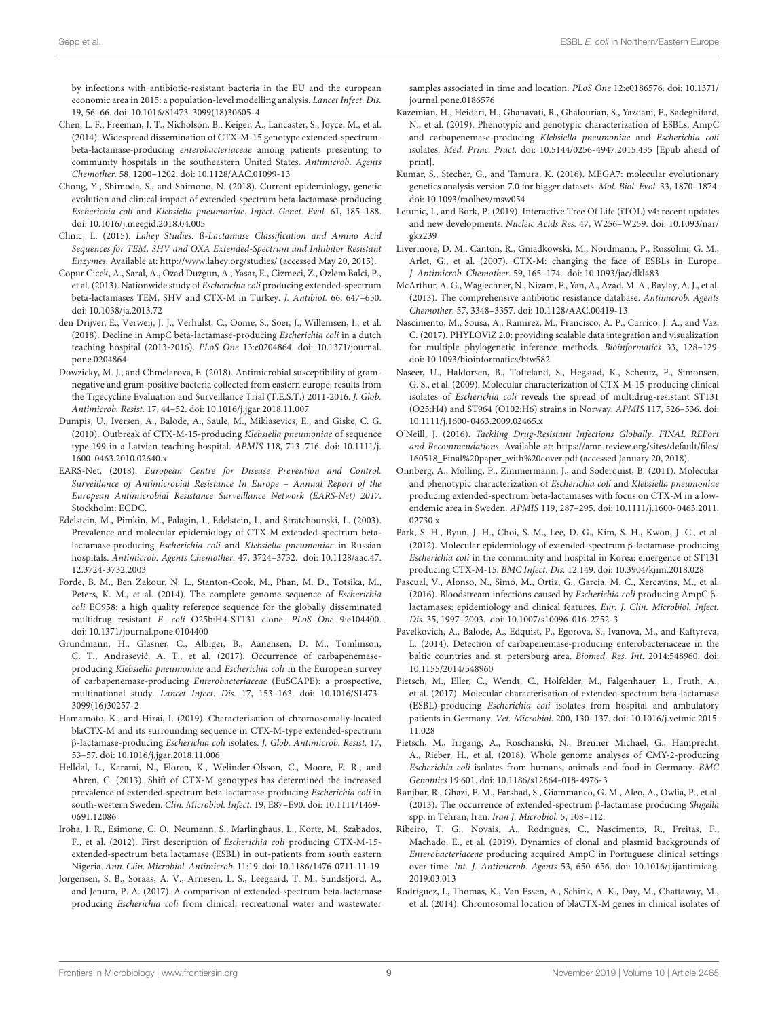by infections with antibiotic-resistant bacteria in the EU and the european economic area in 2015: a population-level modelling analysis. Lancet Infect. Dis. 19, 56–66. [doi: 10.1016/S1473-3099\(18\)30605-4](https://doi.org/10.1016/S1473-3099(18)30605-4)

- <span id="page-8-14"></span>Chen, L. F., Freeman, J. T., Nicholson, B., Keiger, A., Lancaster, S., Joyce, M., et al. (2014). Widespread dissemination of CTX-M-15 genotype extended-spectrumbeta-lactamase-producing enterobacteriaceae among patients presenting to community hospitals in the southeastern United States. Antimicrob. Agents Chemother. 58, 1200–1202. [doi: 10.1128/AAC.01099-13](https://doi.org/10.1128/AAC.01099-13)
- <span id="page-8-31"></span>Chong, Y., Shimoda, S., and Shimono, N. (2018). Current epidemiology, genetic evolution and clinical impact of extended-spectrum beta-lactamase-producing Escherichia coli and Klebsiella pneumoniae. Infect. Genet. Evol. 61, 185–188. [doi: 10.1016/j.meegid.2018.04.005](https://doi.org/10.1016/j.meegid.2018.04.005)
- <span id="page-8-10"></span>Clinic, L. (2015). Lahey Studies. ß-Lactamase Classification and Amino Acid Sequences for TEM, SHV and OXA Extended-Spectrum and Inhibitor Resistant Enzymes. Available at: <http://www.lahey.org/studies/> (accessed May 20, 2015).
- <span id="page-8-18"></span>Copur Cicek, A., Saral, A., Ozad Duzgun, A., Yasar, E., Cizmeci, Z., Ozlem Balci, P., et al. (2013). Nationwide study of *Escherichia coli* producing extended-spectrum beta-lactamases TEM, SHV and CTX-M in Turkey. J. Antibiot. 66, 647–650. [doi: 10.1038/ja.2013.72](https://doi.org/10.1038/ja.2013.72)
- <span id="page-8-27"></span>den Drijver, E., Verweij, J. J., Verhulst, C., Oome, S., Soer, J., Willemsen, I., et al. (2018). Decline in AmpC beta-lactamase-producing Escherichia coli in a dutch teaching hospital (2013-2016). PLoS One 13:e0204864. [doi: 10.1371/journal.](https://doi.org/10.1371/journal.pone.0204864) [pone.0204864](https://doi.org/10.1371/journal.pone.0204864)
- <span id="page-8-11"></span>Dowzicky, M. J., and Chmelarova, E. (2018). Antimicrobial susceptibility of gramnegative and gram-positive bacteria collected from eastern europe: results from the Tigecycline Evaluation and Surveillance Trial (T.E.S.T.) 2011-2016. J. Glob. Antimicrob. Resist. 17, 44–52. [doi: 10.1016/j.jgar.2018.11.007](https://doi.org/10.1016/j.jgar.2018.11.007)
- <span id="page-8-4"></span>Dumpis, U., Iversen, A., Balode, A., Saule, M., Miklasevics, E., and Giske, C. G. (2010). Outbreak of CTX-M-15-producing Klebsiella pneumoniae of sequence type 199 in a Latvian teaching hospital. APMIS 118, 713–716. [doi: 10.1111/j.](https://doi.org/10.1111/j.1600-0463.2010.02640.x) [1600-0463.2010.02640.x](https://doi.org/10.1111/j.1600-0463.2010.02640.x)
- <span id="page-8-1"></span>EARS-Net, (2018). European Centre for Disease Prevention and Control. Surveillance of Antimicrobial Resistance In Europe – Annual Report of the European Antimicrobial Resistance Surveillance Network (EARS-Net) 2017. Stockholm: ECDC.
- <span id="page-8-2"></span>Edelstein, M., Pimkin, M., Palagin, I., Edelstein, I., and Stratchounski, L. (2003). Prevalence and molecular epidemiology of CTX-M extended-spectrum betalactamase-producing Escherichia coli and Klebsiella pneumoniae in Russian hospitals. Antimicrob. Agents Chemother. 47, 3724–3732. [doi: 10.1128/aac.47.](https://doi.org/10.1128/aac.47.12.3724-3732.2003) [12.3724-3732.2003](https://doi.org/10.1128/aac.47.12.3724-3732.2003)
- <span id="page-8-7"></span>Forde, B. M., Ben Zakour, N. L., Stanton-Cook, M., Phan, M. D., Totsika, M., Peters, K. M., et al. (2014). The complete genome sequence of Escherichia coli EC958: a high quality reference sequence for the globally disseminated multidrug resistant E. coli O25b:H4-ST131 clone. PLoS One 9:e104400. [doi: 10.1371/journal.pone.0104400](https://doi.org/10.1371/journal.pone.0104400)
- <span id="page-8-29"></span>Grundmann, H., Glasner, C., Albiger, B., Aanensen, D. M., Tomlinson, C. T., Andrasević, A. T., et al. (2017). Occurrence of carbapenemaseproducing Klebsiella pneumoniae and Escherichia coli in the European survey of carbapenemase-producing Enterobacteriaceae (EuSCAPE): a prospective, multinational study. Lancet Infect. Dis. 17, 153–163. [doi: 10.1016/S1473-](https://doi.org/10.1016/S1473-3099(16)30257-2) [3099\(16\)30257-2](https://doi.org/10.1016/S1473-3099(16)30257-2)
- <span id="page-8-22"></span>Hamamoto, K., and Hirai, I. (2019). Characterisation of chromosomally-located blaCTX-M and its surrounding sequence in CTX-M-type extended-spectrum β-lactamase-producing Escherichia coli isolates. J. Glob. Antimicrob. Resist. 17, 53–57. [doi: 10.1016/j.jgar.2018.11.006](https://doi.org/10.1016/j.jgar.2018.11.006)
- <span id="page-8-19"></span>Helldal, L., Karami, N., Floren, K., Welinder-Olsson, C., Moore, E. R., and Ahren, C. (2013). Shift of CTX-M genotypes has determined the increased prevalence of extended-spectrum beta-lactamase-producing Escherichia coli in south-western Sweden. Clin. Microbiol. Infect. 19, E87–E90. [doi: 10.1111/1469-](https://doi.org/10.1111/1469-0691.12086) [0691.12086](https://doi.org/10.1111/1469-0691.12086)
- <span id="page-8-13"></span>Iroha, I. R., Esimone, C. O., Neumann, S., Marlinghaus, L., Korte, M., Szabados, F., et al. (2012). First description of Escherichia coli producing CTX-M-15 extended-spectrum beta lactamase (ESBL) in out-patients from south eastern Nigeria. Ann. Clin. Microbiol. Antimicrob. 11:19. [doi: 10.1186/1476-0711-11-19](https://doi.org/10.1186/1476-0711-11-19)
- <span id="page-8-16"></span>Jorgensen, S. B., Soraas, A. V., Arnesen, L. S., Leegaard, T. M., Sundsfjord, A., and Jenum, P. A. (2017). A comparison of extended-spectrum beta-lactamase producing Escherichia coli from clinical, recreational water and wastewater

samples associated in time and location. PLoS One 12:e0186576. [doi: 10.1371/](https://doi.org/10.1371/journal.pone.0186576) [journal.pone.0186576](https://doi.org/10.1371/journal.pone.0186576)

- <span id="page-8-24"></span>Kazemian, H., Heidari, H., Ghanavati, R., Ghafourian, S., Yazdani, F., Sadeghifard, N., et al. (2019). Phenotypic and genotypic characterization of ESBLs, AmpC and carbapenemase-producing Klebsiella pneumoniae and Escherichia coli isolates. Med. Princ. Pract. [doi: 10.5144/0256-4947.2015.435](https://doi.org/10.5144/0256-4947.2015.435) [Epub ahead of print].
- <span id="page-8-8"></span>Kumar, S., Stecher, G., and Tamura, K. (2016). MEGA7: molecular evolutionary genetics analysis version 7.0 for bigger datasets. Mol. Biol. Evol. 33, 1870–1874. [doi: 10.1093/molbev/msw054](https://doi.org/10.1093/molbev/msw054)
- <span id="page-8-9"></span>Letunic, I., and Bork, P. (2019). Interactive Tree Of Life (iTOL) v4: recent updates and new developments. Nucleic Acids Res. 47, W256–W259. [doi: 10.1093/nar/](https://doi.org/10.1093/nar/gkz239) [gkz239](https://doi.org/10.1093/nar/gkz239)
- <span id="page-8-12"></span>Livermore, D. M., Canton, R., Gniadkowski, M., Nordmann, P., Rossolini, G. M., Arlet, G., et al. (2007). CTX-M: changing the face of ESBLs in Europe. J. Antimicrob. Chemother. 59, 165–174. [doi: 10.1093/jac/dkl483](https://doi.org/10.1093/jac/dkl483)
- <span id="page-8-5"></span>McArthur, A. G., Waglechner, N., Nizam, F., Yan, A., Azad, M. A., Baylay, A. J., et al. (2013). The comprehensive antibiotic resistance database. Antimicrob. Agents Chemother. 57, 3348–3357. [doi: 10.1128/AAC.00419-13](https://doi.org/10.1128/AAC.00419-13)
- <span id="page-8-6"></span>Nascimento, M., Sousa, A., Ramirez, M., Francisco, A. P., Carrico, J. A., and Vaz, C. (2017). PHYLOViZ 2.0: providing scalable data integration and visualization for multiple phylogenetic inference methods. Bioinformatics 33, 128–129. [doi: 10.1093/bioinformatics/btw582](https://doi.org/10.1093/bioinformatics/btw582)
- <span id="page-8-3"></span>Naseer, U., Haldorsen, B., Tofteland, S., Hegstad, K., Scheutz, F., Simonsen, G. S., et al. (2009). Molecular characterization of CTX-M-15-producing clinical isolates of Escherichia coli reveals the spread of multidrug-resistant ST131 (O25:H4) and ST964 (O102:H6) strains in Norway. APMIS 117, 526–536. [doi:](https://doi.org/10.1111/j.1600-0463.2009.02465.x) [10.1111/j.1600-0463.2009.02465.x](https://doi.org/10.1111/j.1600-0463.2009.02465.x)
- <span id="page-8-0"></span>O'Neill, J. (2016). Tackling Drug-Resistant Infections Globally. FINAL REPort and Recommendations. Available at: [https://amr-review.org/sites/default/files/](https://amr-review.org/sites/default/files/160518_Final%20paper_with%20cover.pdf) [160518\\_Final%20paper\\_with%20cover.pdf](https://amr-review.org/sites/default/files/160518_Final%20paper_with%20cover.pdf) (accessed January 20, 2018).
- <span id="page-8-17"></span>Onnberg, A., Molling, P., Zimmermann, J., and Soderquist, B. (2011). Molecular and phenotypic characterization of Escherichia coli and Klebsiella pneumoniae producing extended-spectrum beta-lactamases with focus on CTX-M in a lowendemic area in Sweden. APMIS 119, 287–295. [doi: 10.1111/j.1600-0463.2011.](https://doi.org/10.1111/j.1600-0463.2011.02730.x) 02730 x
- <span id="page-8-20"></span>Park, S. H., Byun, J. H., Choi, S. M., Lee, D. G., Kim, S. H., Kwon, J. C., et al. (2012). Molecular epidemiology of extended-spectrum β-lactamase-producing Escherichia coli in the community and hospital in Korea: emergence of ST131 producing CTX-M-15. BMC Infect. Dis. 12:149. [doi: 10.3904/kjim.2018.028](https://doi.org/10.3904/kjim.2018.028)
- <span id="page-8-23"></span>Pascual, V., Alonso, N., Simó, M., Ortiz, G., Garcia, M. C., Xercavins, M., et al. (2016). Bloodstream infections caused by Escherichia coli producing AmpC βlactamases: epidemiology and clinical features. Eur. J. Clin. Microbiol. Infect. Dis. 35, 1997–2003. [doi: 10.1007/s10096-016-2752-3](https://doi.org/10.1007/s10096-016-2752-3)
- <span id="page-8-30"></span>Pavelkovich, A., Balode, A., Edquist, P., Egorova, S., Ivanova, M., and Kaftyreva, L. (2014). Detection of carbapenemase-producing enterobacteriaceae in the baltic countries and st. petersburg area. Biomed. Res. Int. 2014:548960. [doi:](https://doi.org/10.1155/2014/548960) [10.1155/2014/548960](https://doi.org/10.1155/2014/548960)
- <span id="page-8-15"></span>Pietsch, M., Eller, C., Wendt, C., Holfelder, M., Falgenhauer, L., Fruth, A., et al. (2017). Molecular characterisation of extended-spectrum beta-lactamase (ESBL)-producing Escherichia coli isolates from hospital and ambulatory patients in Germany. Vet. Microbiol. 200, 130–137. [doi: 10.1016/j.vetmic.2015.](https://doi.org/10.1016/j.vetmic.2015.11.028) [11.028](https://doi.org/10.1016/j.vetmic.2015.11.028)
- <span id="page-8-28"></span>Pietsch, M., Irrgang, A., Roschanski, N., Brenner Michael, G., Hamprecht, A., Rieber, H., et al. (2018). Whole genome analyses of CMY-2-producing Escherichia coli isolates from humans, animals and food in Germany. BMC Genomics 19:601. [doi: 10.1186/s12864-018-4976-3](https://doi.org/10.1186/s12864-018-4976-3)
- <span id="page-8-26"></span>Ranjbar, R., Ghazi, F. M., Farshad, S., Giammanco, G. M., Aleo, A., Owlia, P., et al. (2013). The occurrence of extended-spectrum β-lactamase producing Shigella spp. in Tehran, Iran. Iran J. Microbiol. 5, 108–112.
- <span id="page-8-25"></span>Ribeiro, T. G., Novais, A., Rodrigues, C., Nascimento, R., Freitas, F., Machado, E., et al. (2019). Dynamics of clonal and plasmid backgrounds of Enterobacteriaceae producing acquired AmpC in Portuguese clinical settings over time. Int. J. Antimicrob. Agents 53, 650–656. [doi: 10.1016/j.ijantimicag.](https://doi.org/10.1016/j.ijantimicag.2019.03.013) [2019.03.013](https://doi.org/10.1016/j.ijantimicag.2019.03.013)
- <span id="page-8-21"></span>Rodríguez, I., Thomas, K., Van Essen, A., Schink, A. K., Day, M., Chattaway, M., et al. (2014). Chromosomal location of blaCTX-M genes in clinical isolates of